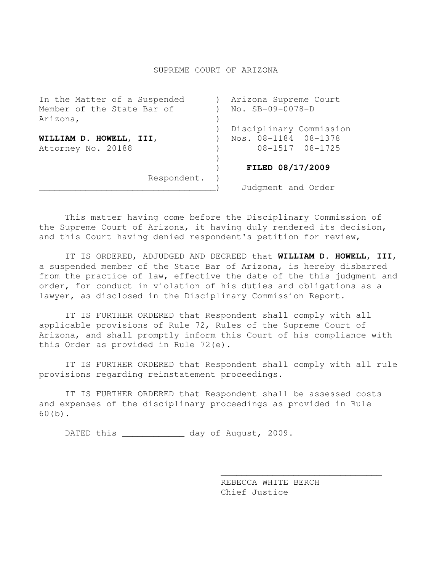## SUPREME COURT OF ARIZONA

In the Matter of a Suspended ) Arizona Supreme Court Member of the State Bar of (a) No. SB-09-0078-D Arizona, ) ) Disciplinary Commission **WILLIAM D. HOWELL, III**, ) Nos. 08-1184 08-1378 Attorney No. 20188 (a) 08-1517 08-1725  $)$  ) **FILED 08/17/2009** Respondent. ) ) Judgment and Order

This matter having come before the Disciplinary Commission of the Supreme Court of Arizona, it having duly rendered its decision, and this Court having denied respondent's petition for review,

 IT IS ORDERED, ADJUDGED AND DECREED that **WILLIAM D. HOWELL, III**, a suspended member of the State Bar of Arizona, is hereby disbarred from the practice of law, effective the date of the this judgment and order, for conduct in violation of his duties and obligations as a lawyer, as disclosed in the Disciplinary Commission Report.

 IT IS FURTHER ORDERED that Respondent shall comply with all applicable provisions of Rule 72, Rules of the Supreme Court of Arizona, and shall promptly inform this Court of his compliance with this Order as provided in Rule 72(e).

 IT IS FURTHER ORDERED that Respondent shall comply with all rule provisions regarding reinstatement proceedings.

IT IS FURTHER ORDERED that Respondent shall be assessed costs and expenses of the disciplinary proceedings as provided in Rule 60(b).

 $\mathcal{L}_\text{max}$  , and the contract of the contract of the contract of the contract of the contract of the contract of the contract of the contract of the contract of the contract of the contract of the contract of the contr

DATED this \_\_\_\_\_\_\_\_\_\_\_\_\_\_ day of August, 2009.

 REBECCA WHITE BERCH Chief Justice